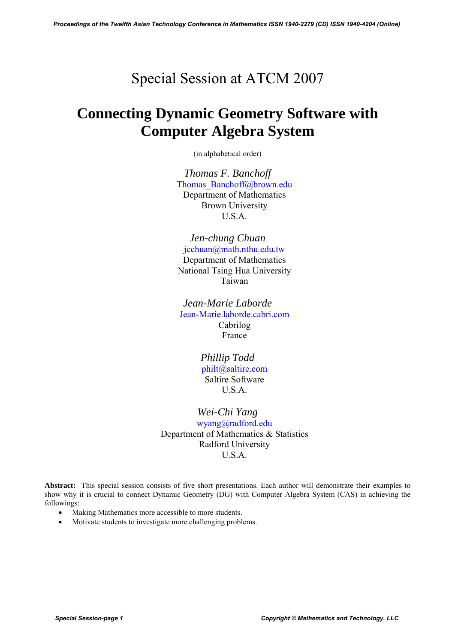# Special Session at ATCM 2007

# **Connecting Dynamic Geometry Software with Computer Algebra System**

(in alphabetical order)

*Thomas F. Banchoff*  Thomas Banchoff@brown.edu Department of Mathematics Brown University U.S.A.

*Jen-chung Chuan*  jcchuan@math.nthu.edu.tw Department of Mathematics National Tsing Hua University

Taiwan

*Jean-Marie Laborde*  Jean-Marie.laborde.cabri.com Cabrilog France

> *Phillip Todd*  philt@saltire.com Saltire Software U.S.A.

*Wei-Chi Yang*  wyang@radford.edu Department of Mathematics & Statistics Radford University U.S.A.

**Abstract:** This special session consists of five short presentations. Each author will demonstrate their examples to show why it is crucial to connect Dynamic Geometry (DG) with Computer Algebra System (CAS) in achieving the followings:

- Making Mathematics more accessible to more students.
- Motivate students to investigate more challenging problems.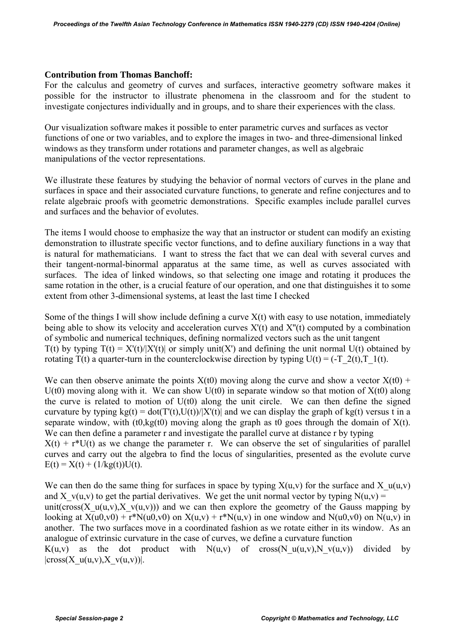### **Contribution from Thomas Banchoff:**

For the calculus and geometry of curves and surfaces, interactive geometry software makes it possible for the instructor to illustrate phenomena in the classroom and for the student to investigate conjectures individually and in groups, and to share their experiences with the class.

Our visualization software makes it possible to enter parametric curves and surfaces as vector functions of one or two variables, and to explore the images in two- and three-dimensional linked windows as they transform under rotations and parameter changes, as well as algebraic manipulations of the vector representations.

We illustrate these features by studying the behavior of normal vectors of curves in the plane and surfaces in space and their associated curvature functions, to generate and refine conjectures and to relate algebraic proofs with geometric demonstrations. Specific examples include parallel curves and surfaces and the behavior of evolutes.

The items I would choose to emphasize the way that an instructor or student can modify an existing demonstration to illustrate specific vector functions, and to define auxiliary functions in a way that is natural for mathematicians. I want to stress the fact that we can deal with several curves and their tangent-normal-binormal apparatus at the same time, as well as curves associated with surfaces. The idea of linked windows, so that selecting one image and rotating it produces the same rotation in the other, is a crucial feature of our operation, and one that distinguishes it to some extent from other 3-dimensional systems, at least the last time I checked

Some of the things I will show include defining a curve  $X(t)$  with easy to use notation, immediately being able to show its velocity and acceleration curves X'(t) and X''(t) computed by a combination of symbolic and numerical techniques, defining normalized vectors such as the unit tangent T(t) by typing  $T(t) = X'(t)/|X'(t)|$  or simply unit(X') and defining the unit normal U(t) obtained by rotating T(t) a quarter-turn in the counterclockwise direction by typing U(t) =  $(-T\ 2(t),T\ 1(t))$ .

We can then observe animate the points  $X(t0)$  moving along the curve and show a vector  $X(t0)$  + U(t0) moving along with it. We can show U(t0) in separate window so that motion of  $X(t0)$  along the curve is related to motion of  $U(t0)$  along the unit circle. We can then define the signed curvature by typing  $kg(t) = dot(T'(t), U(t))/|X'(t)|$  and we can display the graph of kg(t) versus t in a separate window, with (t0,kg(t0) moving along the graph as t0 goes through the domain of  $X(t)$ . We can then define a parameter r and investigate the parallel curve at distance r by typing  $X(t) + r^*U(t)$  as we change the parameter r. We can observe the set of singularities of parallel curves and carry out the algebra to find the locus of singularities, presented as the evolute curve  $E(t) = X(t) + (1/kg(t))U(t)$ .

We can then do the same thing for surfaces in space by typing  $X(u,v)$  for the surface and X  $u(u,v)$ and X  $v(u,v)$  to get the partial derivatives. We get the unit normal vector by typing N(u,v) = unit(cross(X  $u(u,v)$ ,X  $v(u,v)$ )) and we can then explore the geometry of the Gauss mapping by looking at  $X(u0,v0) + r^*N(u0,v0)$  on  $X(u,v) + r^*N(u,v)$  in one window and  $N(u0,v0)$  on  $N(u,v)$  in another. The two surfaces move in a coordinated fashion as we rotate either in its window. As an analogue of extrinsic curvature in the case of curves, we define a curvature function  $K(u,v)$  as the dot product with  $N(u,v)$  of cross(N u(u,v),N v(u,v)) divided by  $|cross(X_u(u,v),X_v(u,v))|$ .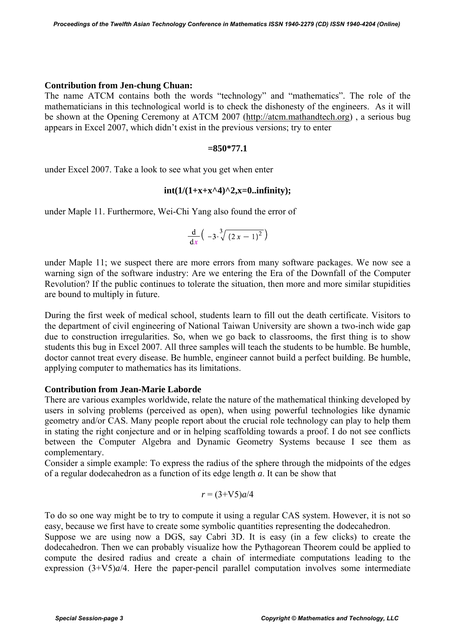### **Contribution from Jen-chung Chuan:**

The name ATCM contains both the words "technology" and "mathematics". The role of the mathematicians in this technological world is to check the dishonesty of the engineers. As it will be shown at the Opening Ceremony at ATCM 2007 [\(http://atcm.mathandtech.org\)](http://atcm.mathandtech.org/) , a serious bug appears in Excel 2007, which didn't exist in the previous versions; try to enter

#### **=850\*77.1**

under Excel 2007. Take a look to see what you get when enter

## $int(1/(1+x+x^2)^2)^2$ ,  $x=0$ ..*infinity*):

under Maple 11. Furthermore, Wei-Chi Yang also found the error of

$$
\frac{\mathrm{d}}{\mathrm{d}x}\left(-3\cdot\sqrt[3]{\left(2x-1\right)^2}\right)
$$

under Maple 11; we suspect there are more errors from many software packages. We now see a warning sign of the software industry: Are we entering the Era of the Downfall of the Computer Revolution? If the public continues to tolerate the situation, then more and more similar stupidities are bound to multiply in future.

During the first week of medical school, students learn to fill out the death certificate. Visitors to the department of civil engineering of National Taiwan University are shown a two-inch wide gap due to construction irregularities. So, when we go back to classrooms, the first thing is to show students this bug in Excel 2007. All three samples will teach the students to be humble. Be humble, doctor cannot treat every disease. Be humble, engineer cannot build a perfect building. Be humble, applying computer to mathematics has its limitations.

# **Contribution from Jean-Marie Laborde**

There are various examples worldwide, relate the nature of the mathematical thinking developed by users in solving problems (perceived as open), when using powerful technologies like dynamic geometry and/or CAS. Many people report about the crucial role technology can play to help them in stating the right conjecture and or in helping scaffolding towards a proof. I do not see conflicts between the Computer Algebra and Dynamic Geometry Systems because I see them as complementary.

Consider a simple example: To express the radius of the sphere through the midpoints of the edges of a regular dodecahedron as a function of its edge length *a*. It can be show that

$$
r = (3+\sqrt{5})a/4
$$

To do so one way might be to try to compute it using a regular CAS system. However, it is not so easy, because we first have to create some symbolic quantities representing the dodecahedron.

Suppose we are using now a DGS, say Cabri 3D. It is easy (in a few clicks) to create the dodecahedron. Then we can probably visualize how the Pythagorean Theorem could be applied to compute the desired radius and create a chain of intermediate computations leading to the expression (3+V5)*a*/4. Here the paper-pencil parallel computation involves some intermediate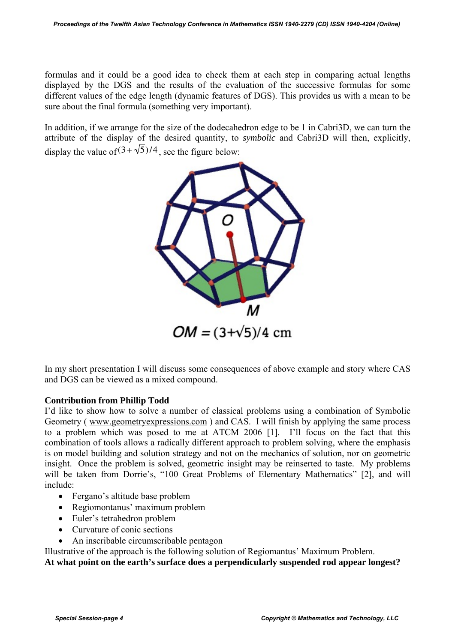formulas and it could be a good idea to check them at each step in comparing actual lengths displayed by the DGS and the results of the evaluation of the successive formulas for some different values of the edge length (dynamic features of DGS). This provides us with a mean to be sure about the final formula (something very important).

In addition, if we arrange for the size of the dodecahedron edge to be 1 in Cabri3D, we can turn the attribute of the display of the desired quantity, to *symbolic* and Cabri3D will then, explicitly, display the value of  $(3+\sqrt{5})/4$ , see the figure below:



In my short presentation I will discuss some consequences of above example and story where CAS and DGS can be viewed as a mixed compound.

# **Contribution from Phillip Todd**

I'd like to show how to solve a number of classical problems using a combination of Symbolic Geometry ( [www.geometryexpressions.com](http://www.geometryexpressions.com/) ) and CAS. I will finish by applying the same process to a problem which was posed to me at ATCM 2006 [1]. I'll focus on the fact that this combination of tools allows a radically different approach to problem solving, where the emphasis is on model building and solution strategy and not on the mechanics of solution, nor on geometric insight. Once the problem is solved, geometric insight may be reinserted to taste. My problems will be taken from Dorrie's, "100 Great Problems of Elementary Mathematics" [2], and will include:

- Fergano's altitude base problem
- Regiomontanus' maximum problem
- Euler's tetrahedron problem
- Curvature of conic sections
- An inscribable circumscribable pentagon

Illustrative of the approach is the following solution of Regiomantus' Maximum Problem.

**At what point on the earth's surface does a perpendicularly suspended rod appear longest?**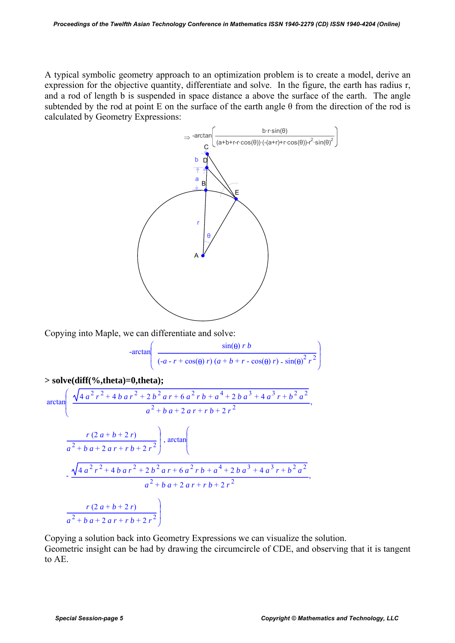A typical symbolic geometry approach to an optimization problem is to create a model, derive an expression for the objective quantity, differentiate and solve. In the figure, the earth has radius r, and a rod of length b is suspended in space distance a above the surface of the earth. The angle subtended by the rod at point E on the surface of the earth angle  $\theta$  from the direction of the rod is calculated by Geometry Expressions:



Copying into Maple, we can differentiate and solve:

-arctan
$$
\left(\frac{\sin(\theta) r b}{(-a - r + \cos(\theta) r) (a + b + r - \cos(\theta) r) - \sin(\theta)^2 r^2}\right)
$$

**> solve(diff(%,theta)=0,theta);**

$$
\arctan\left(\frac{\sqrt{4 a^2 r^2 + 4 b a r^2 + 2 b^2 a r + 6 a^2 r b + a^4 + 2 b a^3 + 4 a^3 r + b^2 a^2}}{a^2 + b a + 2 a r + r b + 2 r^2}, \frac{r (2 a + b + 2 r)}{a^2 + b a + 2 a r + r b + 2 r^2}\right), \arctan\left(\frac{\sqrt{4 a^2 r^2 + 4 b a r^2 + 2 b^2 a r + 6 a^2 r b + a^4 + 2 b a^3 + 4 a^3 r + b^2 a^2}}{a^2 + b a + 2 a r + r b + 2 r^2}, \frac{r (2 a + b + 2 r)}{a^2 + b a + 2 a r + r b + 2 r^2}\right)
$$

Copying a solution back into Geometry Expressions we can visualize the solution. Geometric insight can be had by drawing the circumcircle of CDE, and observing that it is tangent to AE.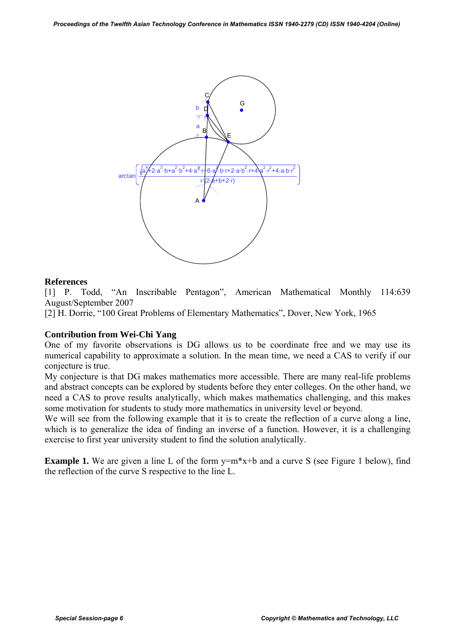

#### **References**

[1] P. Todd, "An Inscribable Pentagon", American Mathematical Monthly 114:639 August/September 2007

[2] H. Dorrie, "100 Great Problems of Elementary Mathematics", Dover, New York, 1965

#### **Contribution from Wei-Chi Yang**

One of my favorite observations is DG allows us to be coordinate free and we may use its numerical capability to approximate a solution. In the mean time, we need a CAS to verify if our conjecture is true.

My conjecture is that DG makes mathematics more accessible. There are many real-life problems and abstract concepts can be explored by students before they enter colleges. On the other hand, we need a CAS to prove results analytically, which makes mathematics challenging, and this makes some motivation for students to study more mathematics in university level or beyond.

We will see from the following example that it is to create the reflection of a curve along a line, which is to generalize the idea of finding an inverse of a function. However, it is a challenging exercise to first year university student to find the solution analytically.

**Example 1.** We are given a line L of the form y=m<sup>\*</sup>x+b and a curve S (see Figure 1 below), find the reflection of the curve S respective to the line L.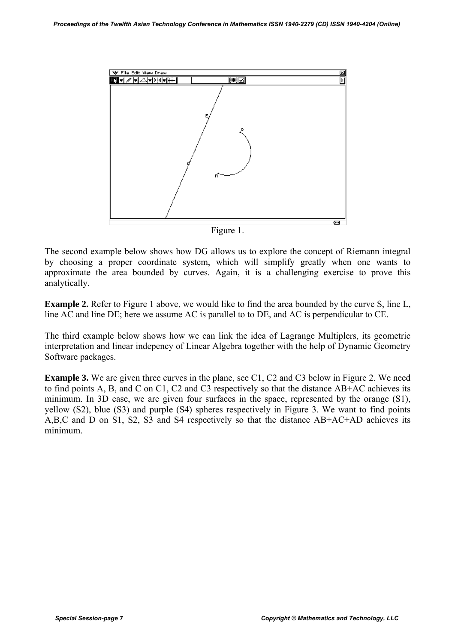

Figure 1.

The second example below shows how DG allows us to explore the concept of Riemann integral by choosing a proper coordinate system, which will simplify greatly when one wants to approximate the area bounded by curves. Again, it is a challenging exercise to prove this analytically.

**Example 2.** Refer to Figure 1 above, we would like to find the area bounded by the curve S, line L, line AC and line DE; here we assume AC is parallel to to DE, and AC is perpendicular to CE.

The third example below shows how we can link the idea of Lagrange Multiplers, its geometric interpretation and linear indepency of Linear Algebra together with the help of Dynamic Geometry Software packages.

**Example 3.** We are given three curves in the plane, see C1, C2 and C3 below in Figure 2. We need to find points A, B, and C on C1, C2 and C3 respectively so that the distance AB+AC achieves its minimum. In 3D case, we are given four surfaces in the space, represented by the orange (S1), yellow (S2), blue (S3) and purple (S4) spheres respectively in Figure 3. We want to find points A,B,C and D on S1, S2, S3 and S4 respectively so that the distance AB+AC+AD achieves its minimum.